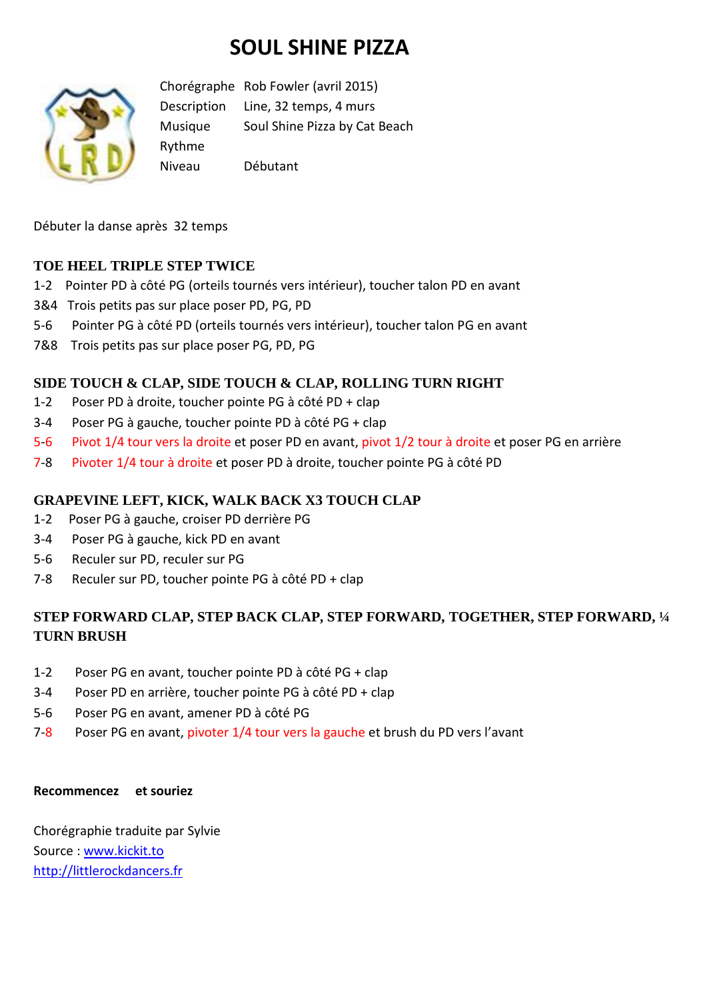# **SOUL SHINE PIZZA**



Chorégraphe Rob Fowler (avril 2015) Description Line, 32 temps, 4 murs Musique Soul Shine Pizza by Cat Beach Rythme Niveau Débutant

Débuter la danse après 32 temps

## **TOE HEEL TRIPLE STEP TWICE**

- 1-2 Pointer PD à côté PG (orteils tournés vers intérieur), toucher talon PD en avant
- 3&4 Trois petits pas sur place poser PD, PG, PD
- 5-6 Pointer PG à côté PD (orteils tournés vers intérieur), toucher talon PG en avant
- 7&8 Trois petits pas sur place poser PG, PD, PG

## **SIDE TOUCH & CLAP, SIDE TOUCH & CLAP, ROLLING TURN RIGHT**

- 1-2 Poser PD à droite, toucher pointe PG à côté PD + clap
- 3-4 Poser PG à gauche, toucher pointe PD à côté PG + clap
- 5-6 Pivot 1/4 tour vers la droite et poser PD en avant, pivot 1/2 tour à droite et poser PG en arrière
- 7-8 Pivoter 1/4 tour à droite et poser PD à droite, toucher pointe PG à côté PD

### **GRAPEVINE LEFT, KICK, WALK BACK X3 TOUCH CLAP**

- 1-2 Poser PG à gauche, croiser PD derrière PG
- 3-4 Poser PG à gauche, kick PD en avant
- 5-6 Reculer sur PD, reculer sur PG
- 7-8 Reculer sur PD, toucher pointe PG à côté PD + clap

# **STEP FORWARD CLAP, STEP BACK CLAP, STEP FORWARD, TOGETHER, STEP FORWARD, ¼ TURN BRUSH**

- 1-2 Poser PG en avant, toucher pointe PD à côté PG + clap
- 3-4 Poser PD en arrière, toucher pointe PG à côté PD + clap
- 5-6 Poser PG en avant, amener PD à côté PG
- 7-8 Poser PG en avant, pivoter 1/4 tour vers la gauche et brush du PD vers l'avant

#### **Recommencez et souriez**

Chorégraphie traduite par Sylvie Source : [www.kickit.to](http://www.kickit.to/) [http://littlerockdancers.fr](http://littlerockdancers.fr/)